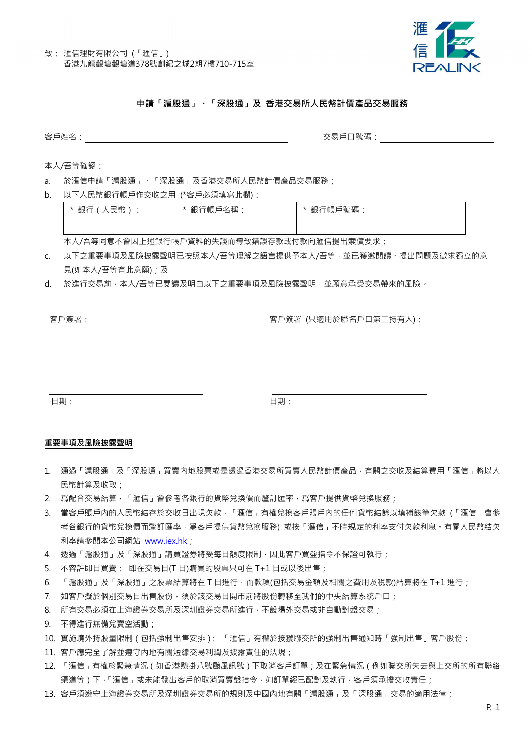

# 申請「滬股通」、「深股通」及 香港交易所人民幣計價產品交易服務

客戶姓名: いっぷり しょうしゃ しゅうしゃ しゅうしゃ しゅうしゃ あいしゃ 交易戸口號碼: しゅうしょう

本人/吾等確認:

- a. 於滙信申請「滬股通」、「深股通」及香港交易所人民幣計價產品交易服務;
- b. 以下人民幣銀行帳戶作交收之用 (\*客戶必須填寫此欄):

| * 銀行(人民幣): | * 銀行帳戶名稱 . | * 銀行帳戶號碼: |
|------------|------------|-----------|
|            |            |           |

本人/吾等同意不會因上述銀行帳戶資料的失誤而導致錯誤存款或付款向滙信提出索償要求;

- c. 以下之重要事項及風險披露聲明已按照本人/吾等理解之語言提供予本人/吾等,並已獲邀閱讀、提出問題及徵求獨立的意 見(如本人/吾等有此意願);及
- d. 於進行交易前,本人/吾等已閱讀及明白以下之重要事項及風險披露聲明,並願意承受交易帶來的風險。

客戶簽署: 客戶簽署 (只適用於聯名戶口第二持有人):

日期: 日期:

#### 重要事項及風險披露聲明

- 1. 通過「滬股通」及「深股通」買賣內地股票或是透過香港交易所買賣人民幣計價產品,有關之交收及結算費用「滙信」將以人 民幣計算及收取;
- 2. 爲配合交易結算,「滙信」會參考各銀行的貨幣兌換價而釐訂匯率,爲客戶提供貨幣兌換服務;
- 3. 當客戶賬戶內的人民幣結存於交收日出現欠款,「滙信」有權兌換客戶賬戶內的任何貨幣結餘以填補該筆欠款 (「滙信」會參 考各銀行的貨幣兌換價而釐訂匯率,爲客戶提供貨幣兌換服務) 或按「滙信」不時規定的利率支付欠款利息。有關人民幣結欠 利率請參閱本公司網站 www.iex.hk;
- 4. 透過「滬股通」及「深股通」講買證券將受每日額度限制,因此客戶買盤指令不保證可執行;
- 5. 不容許即日買賣: 即在交易日(T 日)購買的股票只可在 T+1 日或以後出售;
- 6. 「滬股通」及「深股通」之股票結算將在 T 日進行,而款項(包括交易金額及相關之費用及稅款)結算將在 T+1 進行;
- 7. 如客戶擬於個別交易日出售股份,須於該交易日開市前將股份轉移至我們的中央結算系統戶口;
- 8. 所有交易必須在上海證券交易所及深圳證券交易所進行,不設場外交易或非自動對盤交易;
- 9. 不得進行無備兌賣空活動;
- 10. 實施境外持股量限制(包括強制出售安排): 「滙信」有權於接獲聯交所的強制出售通知時「強制出售」客戶股份;
- 11. 客戶應完全了解並遵守內地有關短線交易利潤及披露責任的法規;
- 12. 「滙信」有權於緊急情況(如香港懸掛八號颱風訊號)下取消客戶訂單;及在緊急情況(例如聯交所失去與上交所的所有聯絡 渠道等)下,「滙信」或未能發出客戶的取消買賣盤指令,如訂單經已配對及執行,客戶須承擔交收責任;
- 13. 客戶須遵守上海證券交易所及深圳證券交易所的規則及中國內地有關「滬股通」及「深股通」交易的適用法律;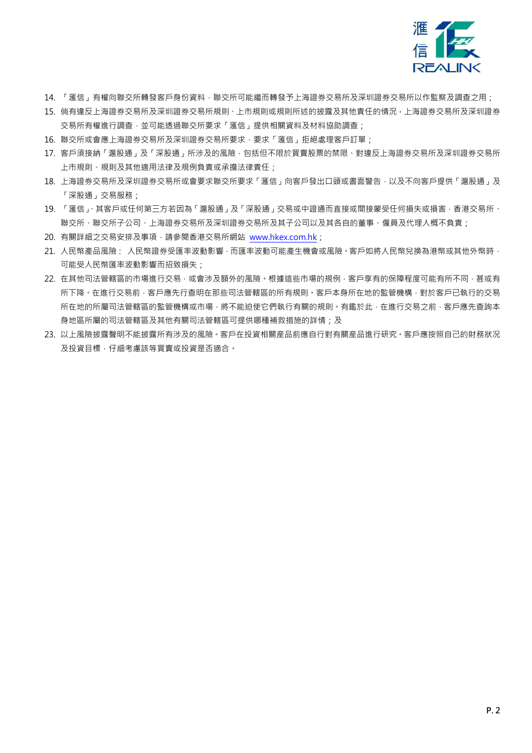

- 14. 「滙信」有權向聯交所轉發客戶身份資料,聯交所可能繼而轉發予上海證券交易所及深圳證券交易所以作監察及調查之用;
- 15. 倘有違反上海證券交易所及深圳證券交易所規則、上市規則或規則所述的披露及其他責任的情況,上海證券交易所及深圳證券 交易所有權進行調查,並可能透過聯交所要求「滙信」提供相關資料及材料協助調查;
- 16. 聯交所或會應上海證券交易所及深圳證券交易所要求,要求「滙信」拒絕處理客戶訂單;
- 17. 客戶須接納「滬股通」及「深股通」所涉及的風險,包括但不限於買賣股票的禁限、對違反上海證券交易所及深圳證券交易所 上市規則、規則及其他適用法律及規例負責或承擔法律責任;
- 18. 上海證券交易所及深圳證券交易所或會要求聯交所要求「滙信」向客戶發出口頭或書面警告,以及不向客戶提供「滬股通」及 「深股通」交易服務;
- 19. 「滙信」、其客戶或任何第三方若因為「滬股通」及「深股通」交易或中證通而直接或間接蒙受任何損失或損害,香港交易所、 聯交所、聯交所子公司、上海證券交易所及深圳證券交易所及其子公司以及其各自的董事、僱員及代理人概不負責;
- 20. 有關詳細之交易安排及事項,請參閱香港交易所網站 www.hkex.com.hk;
- 21. 人民幣產品風險: 人民幣證券受匯率波動影響,而匯率波動可能產生機會或風險。客戶如將人民幣兌換為港幣或其他外幣時, 可能受人民幣匯率波動影響而招致損失;
- 22. 在其他司法管轄區的市場進行交易,或會涉及額外的風險。根據這些市場的規例,客戶享有的保障程度可能有所不同,甚或有 所下降。在進行交易前,客戶應先行查明在那些司法管轄區的所有規則。客戶本身所在地的監管機構,對於客戶已執行的交易 所在地的所屬司法管轄區的監管機構或市場,將不能迫使它們執行有關的規則。有鑑於此,在進行交易之前,客戶應先查詢本 身地區所屬的司法管轄區司法管轄區可提供哪種補救措施的詳情;及
- 23. 以上風險披露聲明不能披露所有涉及的風險。客戶在投資相關産品前應自行對有關産品進行研究。客戶應按照自己的財務狀况 及投資目標,仔細考慮該等買賣或投資是否適合。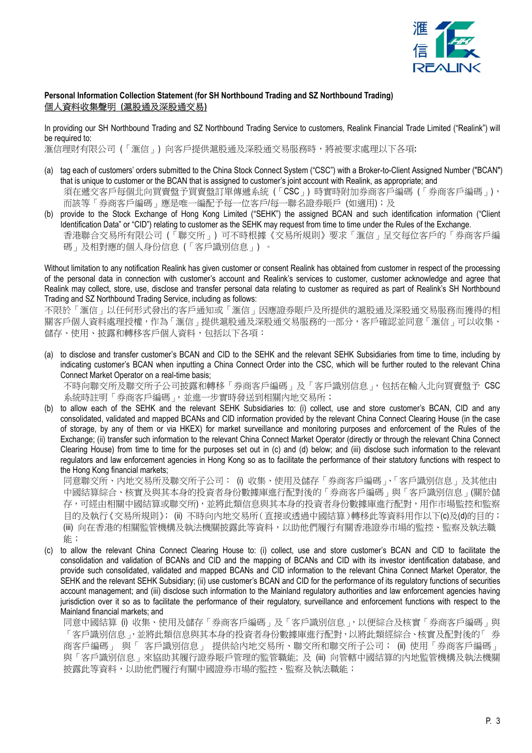

## Personal Information Collection Statement (for SH Northbound Trading and SZ Northbound Trading) 個人資料收集聲明 (滬股通及深股通交易)

In providing our SH Northbound Trading and SZ Northbound Trading Service to customers, Realink Financial Trade Limited ("Realink") will be required to:

滙信理財有限公司 (「滙信」) 向客戶提供滬股通及深股通交易服務時,將被要求處理以下各項:

- (a) tag each of customers' orders submitted to the China Stock Connect System ("CSC") with a Broker-to-Client Assigned Number ("BCAN") that is unique to customer or the BCAN that is assigned to customer's joint account with Realink, as appropriate; and 須在遞交客戶每個北向買賣盤予買賣盤訂單傳遞系統 (「CSC」) 時實時附加券商客戶編碼 (「券商客戶編碼」), 而該等「券商客戶編碼」應是唯一編配予每一位客戶/每一聯名證券賬戶 (如適用);及
- (b) provide to the Stock Exchange of Hong Kong Limited ("SEHK") the assigned BCAN and such identification information ("Client Identification Data" or "CID") relating to customer as the SEHK may request from time to time under the Rules of the Exchange. 香港聯合交易所有限公司 (「聯交所」) 可不時根據《交易所規則》要求「滙信」呈交每位客戶的「券商客戶編 碼」及相對應的個人身份信息 (「客戶識別信息」) 。

Without limitation to any notification Realink has given customer or consent Realink has obtained from customer in respect of the processing of the personal data in connection with customer's account and Realink's services to customer, customer acknowledge and agree that Realink may collect, store, use, disclose and transfer personal data relating to customer as required as part of Realink's SH Northbound Trading and SZ Northbound Trading Service, including as follows:

不限於「滙信」以任何形式發出的客戶通知或「滙信」因應證券賬戶及所提供的滬股通及深股通交易服務而獲得的相 關客戶個人資料處理授權,作為「滙信」提供滬股通及深股通交易服務的一部分,客戶確認並同意「滙信」可以收集、 儲存、使用、披露和轉移客戶個人資料,包括以下各項:

(a) to disclose and transfer customer's BCAN and CID to the SEHK and the relevant SEHK Subsidiaries from time to time, including by indicating customer's BCAN when inputting a China Connect Order into the CSC, which will be further routed to the relevant China Connect Market Operator on a real-time basis;

不時向聯交所及聯交所子公司披露和轉移「券商客戶編碼」及「客戶識別信息」,包括在輸入北向買賣盤予 CSC 系統時註明「券商客戶編碼」,並進一步實時發送到相關內地交易所;

(b) to allow each of the SEHK and the relevant SEHK Subsidiaries to: (i) collect, use and store customer's BCAN, CID and any consolidated, validated and mapped BCANs and CID information provided by the relevant China Connect Clearing House (in the case of storage, by any of them or via HKEX) for market surveillance and monitoring purposes and enforcement of the Rules of the Exchange; (ii) transfer such information to the relevant China Connect Market Operator (directly or through the relevant China Connect Clearing House) from time to time for the purposes set out in (c) and (d) below; and (iii) disclose such information to the relevant regulators and law enforcement agencies in Hong Kong so as to facilitate the performance of their statutory functions with respect to the Hong Kong financial markets;

同意聯交所、內地交易所及聯交所子公司: (i) 收集、使用及儲存「券商客戶編碼」、「客戶識別信息」及其他由 中國結算綜合、核實及與其本身的投資者身份數據庫進行配對後的「券商客戶編碼」與「客戶識別信息」(關於儲 存,可經由相關中國結算或聯交所),並將此類信息與其本身的投資者身份數據庫進行配對,用作市場監控和監察 目的及執行《交易所規則》; (ii) 不時向內地交易所(直接或透過中國結算)轉移此等資料用作以下(c)及(d)的目的; (iii) 向在香港的相關監管機構及執法機關披露此等資料,以助他們履行有關香港證券市場的監控、監察及執法職 能;

(c) to allow the relevant China Connect Clearing House to: (i) collect, use and store customer's BCAN and CID to facilitate the consolidation and validation of BCANs and CID and the mapping of BCANs and CID with its investor identification database, and provide such consolidated, validated and mapped BCANs and CID information to the relevant China Connect Market Operator, the SEHK and the relevant SEHK Subsidiary; (ii) use customer's BCAN and CID for the performance of its regulatory functions of securities account management; and (iii) disclose such information to the Mainland regulatory authorities and law enforcement agencies having jurisdiction over it so as to facilitate the performance of their regulatory, surveillance and enforcement functions with respect to the Mainland financial markets; and

同意中國結算 (i) 收集、使用及儲存「券商客戶編碼」及「客戶識別信息」,以便綜合及核實「券商客戶編碼」與 「客戶識別信息」,並將此類信息與其本身的投資者身份數據庫進行配對,以將此類經綜合、核實及配對後的「 券 商客戶編碼」 與「 客戶識別信息」 提供給內地交易所、聯交所和聯交所子公司; (ii) 使用「券商客戶編碼」 與「客戶識別信息」來協助其履行證券賬戶管理的監管職能; 及 (iii) 向管轄中國結算的內地監管機構及執法機關 披露此等資料,以助他們履行有關中國證券市場的監控、監察及執法職能;